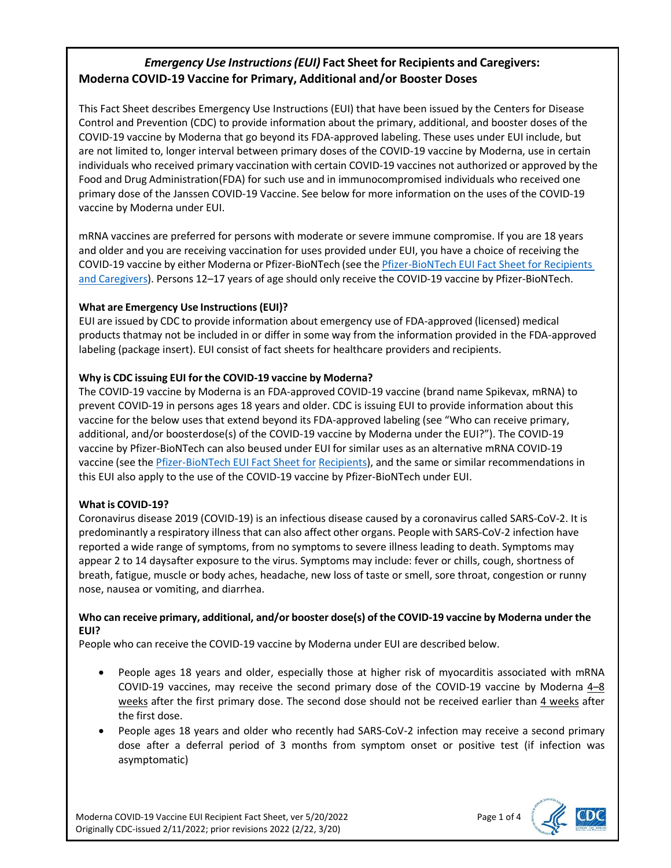# *Emergency Use Instructions(EUI)* **Fact Sheet for Recipients and Caregivers: Moderna COVID-19 Vaccine for Primary, Additional and/or Booster Doses**

This Fact Sheet describes Emergency Use Instructions (EUI) that have been issued by the Centers for Disease Control and Prevention (CDC) to provide information about the primary, additional, and booster doses of the COVID-19 vaccine by Moderna that go beyond its FDA-approved labeling. These uses under EUI include, but are not limited to, longer interval between primary doses of the COVID-19 vaccine by Moderna, use in certain individuals who received primary vaccination with certain COVID-19 vaccines not authorized or approved by the Food and Drug Administration(FDA) for such use and in immunocompromised individuals who received one primary dose of the Janssen COVID-19 Vaccine. See below for more information on the uses of the COVID-19 vaccine by Moderna under EUI.

mRNA vaccines are preferred for persons with moderate or severe immune compromise. If you are 18 years and older and you are receiving vaccination for uses provided under EUI, you have a choice of receiving the COVID-19 vaccine by either Moderna or Pfizer-BioNTech (see the Pfizer-BioNTech EUI Fact Sheet for Recipients and Caregivers). Persons 12–17 years of age should only receive the COVID-19 vaccine by Pfizer-BioNTech.

# **What are Emergency Use [Instructions\(](https://www.cdc.gov/vaccines/covid-19/eui/downloads/Pfizer-Caregiver.pdf)EUI)?**

EUI are issued by CDC to provide information about emergency use of FDA-approved (licensed) medical products thatmay not be included in or differ in some way from the information provided in the FDA-approved labeling (package insert). EUI consist of fact sheets for healthcare providers and recipients.

# **Why is CDC issuing EUI for the COVID-19 vaccine by Moderna?**

The COVID-19 vaccine by Moderna is an FDA-approved COVID-19 vaccine (brand name Spikevax, mRNA) to prevent COVID-19 in persons ages 18 years and older. CDC is issuing EUI to provide information about this vaccine for the below uses that extend beyond its FDA-approved labeling (see "Who can receive primary, additional, and/or boosterdose(s) of the COVID-19 vaccine by Moderna under the EUI?"). The COVID-19 vaccine by Pfizer-BioNTech can also beused under EUI for similar uses as an [alternative](https://www.cdc.gov/vaccines/covid-19/eui/downloads/Pfizer-Caregiver.pdf) mRNA COVID-19 vaccine (see the Pfizer-BioNTech EUI Fact Sheet for [Recipients\), and the same or similar recommendations in](https://www.cdc.gov/vaccines/covid-19/eui/downloads/Pfizer-Caregiver.pdf)  [this EUI also apply to the use of the COVID-19 vaccine by](https://www.cdc.gov/vaccines/covid-19/eui/downloads/Pfizer-Caregiver.pdf) Pfizer-BioNTech under EUI.

## **What is COVID-19?**

Coronavirus disease 2019 (COVID-19) is an infectious disease caused by a coronavirus called SARS-CoV-2. It is predominantly a respiratory illness that can also affect other organs. People with SARS-CoV-2 infection have reported a wide range of symptoms, from no symptoms to severe illness leading to death. Symptoms may appear 2 to 14 daysafter exposure to the virus. Symptoms may include: fever or chills, cough, shortness of breath, fatigue, muscle or body aches, headache, new loss of taste or smell, sore throat, congestion or runny nose, nausea or vomiting, and diarrhea.

## **Who can receive primary, additional, and/or booster dose(s) of the COVID-19 vaccine by Moderna under the EUI?**

People who can receive the COVID-19 vaccine by Moderna under EUI are described below.

- People ages 18 years and older, especially those at higher risk of myocarditis associated with mRNA COVID-19 vaccines, may receive the second primary dose of the COVID-19 vaccine by Moderna 4–8 weeks after the first primary dose. The second dose should not be received earlier than 4 weeks after the first dose.
- People ages 18 years and older who recently had SARS-CoV-2 infection may receive a second primary dose after a deferral period of 3 months from symptom onset or positive test (if infection was asymptomatic)

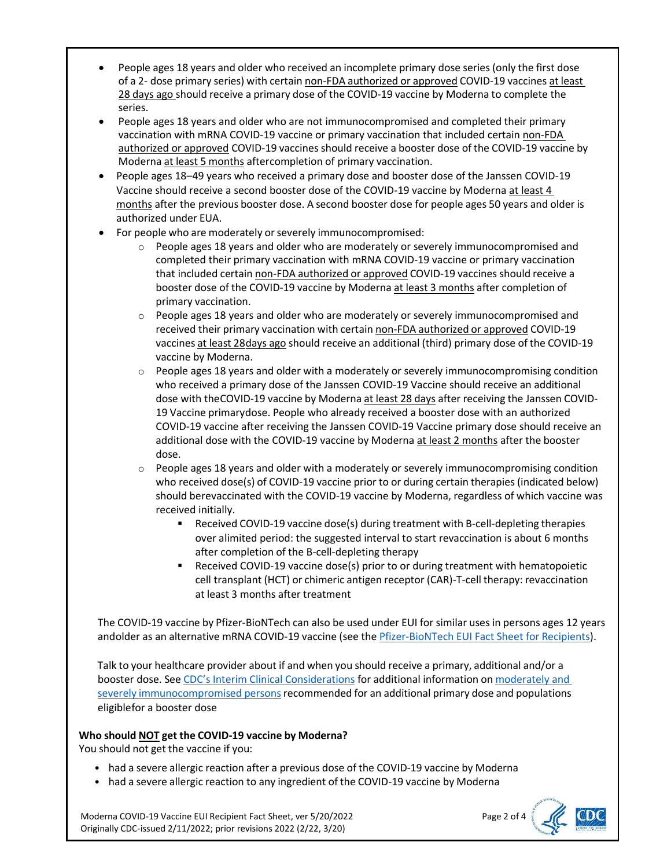- People ages 18 years and older who received an incomplete primary dose series (only the first dose of a 2- dose primary series) with certain non-FDA authorized or approved COVID-19 vaccines at least 28 days ago should receive a primary dose of the COVID-19 vaccine by Moderna to complete the series.
- People ages 18 years and older who are not immunocompromised and completed their primary vaccination with mRNA COVID-19 vaccine or primary vaccination that included certain non-FDA authorized or approved COVID-19 vaccines should receive a booster dose of the COVID-19 vaccine by Moderna at least 5 months aftercompletion of primary vaccination.
- People ages 18–49 years who received a primary dose and booster dose of the Janssen COVID-19 Vaccine should receive a second booster dose of the COVID-19 vaccine by Moderna at least 4 months after the previous booster dose. A second booster dose for people ages 50 years and older is authorized under EUA.
- For people who are moderately or severely immunocompromised:
	- o People ages 18 years and older who are moderately or severely immunocompromised and completed their primary vaccination with mRNA COVID-19 vaccine or primary vaccination that included certain non-FDA authorized or approved COVID-19 vaccines should receive a booster dose of the COVID-19 vaccine by Moderna at least 3 months after completion of primary vaccination.
	- $\circ$  People ages 18 years and older who are moderately or severely immunocompromised and received their primary vaccination with certain non-FDA authorized or approved COVID-19 vaccines at least 28days ago should receive an additional (third) primary dose of the COVID-19 vaccine by Moderna.
	- $\circ$  People ages 18 years and older with a moderately or severely immunocompromising condition who received a primary dose of the Janssen COVID-19 Vaccine should receive an additional dose with theCOVID-19 vaccine by Moderna at least 28 days after receiving the Janssen COVID-19 Vaccine primarydose. People who already received a booster dose with an authorized COVID-19 vaccine after receiving the Janssen COVID-19 Vaccine primary dose should receive an additional dose with the COVID-19 vaccine by Moderna at least 2 months after the booster dose.
	- $\circ$  People ages 18 years and older with a moderately or severely immunocompromising condition who received dose(s) of COVID-19 vaccine prior to or during certain therapies (indicated below) should berevaccinated with the COVID-19 vaccine by Moderna, regardless of which vaccine was received initially.
		- Received COVID-19 vaccine dose(s) during treatment with B-cell-depleting therapies over alimited period: the suggested interval to start revaccination is about 6 months after completion of the B-cell-depleting therapy
		- **•** Received COVID-19 vaccine dose(s) prior to or during treatment with hematopoietic cell transplant (HCT) or chimeric antigen receptor (CAR)-T-cell therapy: revaccination at least 3 months after treatment

The COVID-19 vaccine by Pfizer-BioNTech can also be used under EUI for similar usesin persons ages 12 years andolder as an alternative mRNA COVID-19 vaccine (see the Pfizer-BioNTech EUI Fact Sheet for Recipients).

Talk to your healthcare provider about if and when you should receive a primary, additional and/or a booster dose. See CDC's Interim Clinical [Considerations](https://www.cdc.gov/vaccines/covid-19/clinical-considerations/covid-19-vaccines-us.html) for additional information on moderately and severely immunocompromised persons recommended for an additional primary dose and populations eligiblefor a booster dose

## **Who should NOT get the COVID-19 vaccine by Moderna?**

You should not get the vaccine if you:

- had a severe allergic reaction after a previous dose of the COVID-19 vaccine by Moderna
- had a severe allergic reaction to any ingredient of the COVID-19 vaccine by Moderna

Moderna COVID-19 Vaccine EUI Recipient Fact Sheet, ver 5/20/2022 Page 2 of 4 Originally CDC-issued 2/11/2022; prior revisions 2022 (2/22, 3/20)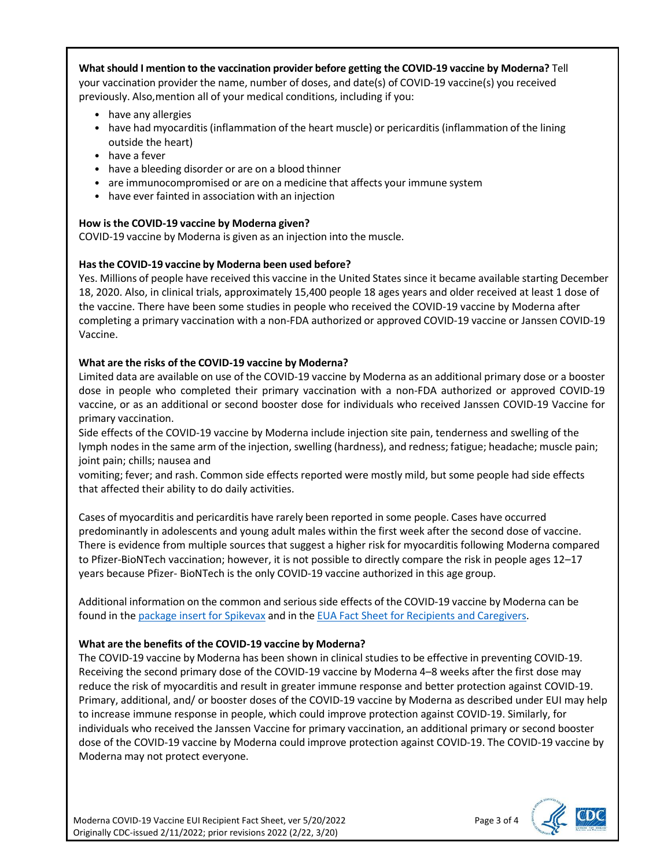## **What should I mention to the vaccination provider before getting the COVID-19 vaccine by Moderna?** Tell your vaccination provider the name, number of doses, and date(s) of COVID-19 vaccine(s) you received previously. Also,mention all of your medical conditions, including if you:

- have any allergies
- have had myocarditis (inflammation of the heart muscle) or pericarditis (inflammation of the lining outside the heart)
- have a fever
- have a bleeding disorder or are on a blood thinner
- are immunocompromised or are on a medicine that affects your immune system
- have ever fainted in association with an injection

#### **How is the COVID-19 vaccine by Moderna given?**

COVID-19 vaccine by Moderna is given as an injection into the muscle.

#### **Hasthe COVID-19 vaccine by Moderna been used before?**

Yes. Millions of people have received this vaccine in the United States since it became available starting December 18, 2020. Also, in clinical trials, approximately 15,400 people 18 ages years and older received at least 1 dose of the vaccine. There have been some studies in people who received the COVID-19 vaccine by Moderna after completing a primary vaccination with a non-FDA authorized or approved COVID-19 vaccine or Janssen COVID-19 Vaccine.

#### **What are the risks of the COVID-19 vaccine by Moderna?**

Limited data are available on use of the COVID-19 vaccine by Moderna as an additional primary dose or a booster dose in people who completed their primary vaccination with a non-FDA authorized or approved COVID-19 vaccine, or as an additional or second booster dose for individuals who received Janssen COVID-19 Vaccine for primary vaccination.

Side effects of the COVID-19 vaccine by Moderna include injection site pain, tenderness and swelling of the lymph nodes in the same arm of the injection, swelling (hardness), and redness; fatigue; headache; muscle pain; joint pain; chills; nausea and

vomiting; fever; and rash. Common side effects reported were mostly mild, but some people had side effects that affected their ability to do daily activities.

Cases of myocarditis and pericarditis have rarely been reported in some people. Cases have occurred predominantly in adolescents and young adult males within the first week after the second dose of vaccine. There is evidence from multiple sources that suggest a higher risk for myocarditis following Moderna compared to Pfizer-BioNTech vaccination; however, it is not possible to directly compare the risk in people ages 12–17 years because Pfizer- BioNTech is the only COVID-19 vaccine authorized in this age group.

Additional information on the common and serious side effects of the COVID-19 vaccine by Moderna can be found in the package insert for [Spikevax](https://www.fda.gov/media/155675/download) and in the EUA Fact Sheet for Recipients and [Caregivers.](https://www.fda.gov/media/144638/download)

#### **What are the benefits of the COVID-19 vaccine by Moderna?**

The COVID-19 vaccine by Moderna has been shown in clinical studiesto be effective in preventing COVID-19. Receiving the second primary dose of the COVID-19 vaccine by Moderna 4–8 weeks after the first dose may reduce the risk of myocarditis and result in greater immune response and better protection against COVID-19. Primary, additional, and/ or booster doses of the COVID-19 vaccine by Moderna as described under EUI may help to increase immune response in people, which could improve protection against COVID-19. Similarly, for individuals who received the Janssen Vaccine for primary vaccination, an additional primary or second booster dose of the COVID-19 vaccine by Moderna could improve protection against COVID-19. The COVID-19 vaccine by Moderna may not protect everyone.